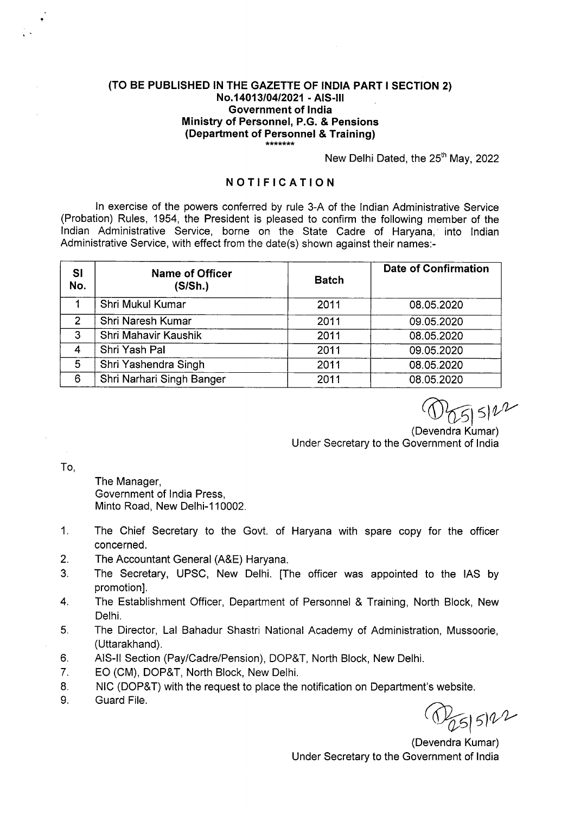## **(TO BE PUBLISHED IN THE GAZETTE OF INDIA PART I SECTION 2) No14O13IO4I2O21** - **AIS**-Ill **Government of India Ministry of Personnel, P.G. & Pensions (Department of Personnel** & **Training)**

New Delhi Dated, the 25<sup>th</sup> May, 2022

## **NOTI FICATION**

In exercise of the powers conferred by rule 3-A of the Indian Administrative Service (Probation) Rules, 1954, the President is pleased to confirm the following member of the Indian Administrative Service, borne on the State Cadre of Haryana, into Indian Administrative Service, with effect from the date(s) shown against their names:-

| <b>SI</b><br>No. | <b>Name of Officer</b><br>(S/Sh.) | <b>Batch</b> | <b>Date of Confirmation</b> |
|------------------|-----------------------------------|--------------|-----------------------------|
|                  | Shri Mukul Kumar                  | 2011         | 08.05.2020                  |
| $\overline{2}$   | Shri Naresh Kumar                 | 2011         | 09.05.2020                  |
| 3                | Shri Mahavir Kaushik              | 2011         | 08.05.2020                  |
| 4                | Shri Yash Pal                     | 2011         | 09.05.2020                  |
| 5                | Shri Yashendra Singh              | 2011         | 08.05.2020                  |
| 6                | Shri Narhari Singh Banger         | 2011         | 08.05.2020                  |

 $5122$ 

(Devendra Kumar) Under Secretary to the Government of India

To,

The Manager, Government of India Press, Minto Road, New Delhi-110002.

- 1. The Chief Secretary to the Govt. of Haryana with spare copy for the officer concerned.
- 2. The Accountant General (A&E) Haryana.
- 3. The Secretary, UPSC, New Delhi. [The officer was appointed to the lAS by promotion].
- 4. The Establishment Officer, Department of Personnel & Training, North Block, New Delhi.
- 5. The Director, Lal Bahadur Shastri National Academy of Administration, Mussoorie, (Uttarakhand).
- 6. AIS-Il Section (Pay/Cadre/Pension), DOP&T, North Block, New Delhi.
- 7. EO (CM), DOP&T, North Block, New Delhi.
- 8. NIC (DOP&T) with the request to place the notification on Department's website.
- 9. Guard File.

 $5|5|22$ 

(Devendra Kumar) Under Secretary to the Government of India